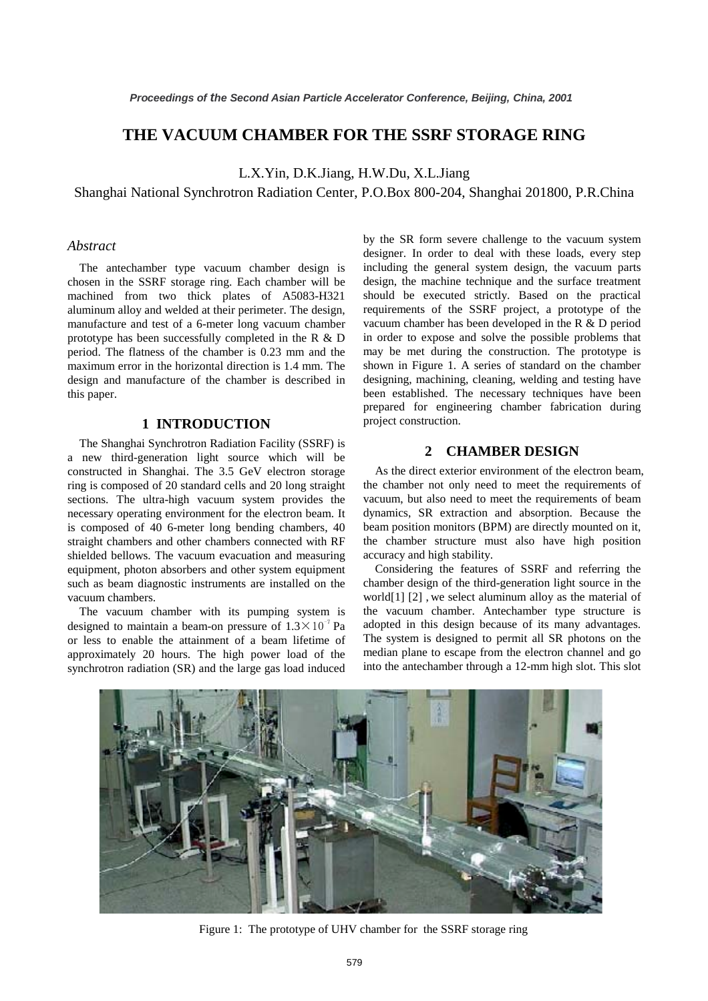# **THE VACUUM CHAMBER FOR THE SSRF STORAGE RING**

L.X.Yin, D.K.Jiang, H.W.Du, X.L.Jiang

## Shanghai National Synchrotron Radiation Center, P.O.Box 800-204, Shanghai 201800, P.R.China

# *Abstract*

The antechamber type vacuum chamber design is chosen in the SSRF storage ring. Each chamber will be machined from two thick plates of A5083-H321 aluminum alloy and welded at their perimeter. The design, manufacture and test of a 6-meter long vacuum chamber prototype has been successfully completed in the R & D period. The flatness of the chamber is 0.23 mm and the maximum error in the horizontal direction is 1.4 mm. The design and manufacture of the chamber is described in this paper.

#### **1 INTRODUCTION**

The Shanghai Synchrotron Radiation Facility (SSRF) is a new third-generation light source which will be constructed in Shanghai. The 3.5 GeV electron storage ring is composed of 20 standard cells and 20 long straight sections. The ultra-high vacuum system provides the necessary operating environment for the electron beam. It is composed of 40 6-meter long bending chambers, 40 straight chambers and other chambers connected with RF shielded bellows. The vacuum evacuation and measuring equipment, photon absorbers and other system equipment such as beam diagnostic instruments are installed on the vacuum chambers.

The vacuum chamber with its pumping system is designed to maintain a beam-on pressure of  $1.3 \times 10^{-7}$  Pa or less to enable the attainment of a beam lifetime of approximately 20 hours. The high power load of the synchrotron radiation (SR) and the large gas load induced by the SR form severe challenge to the vacuum system designer. In order to deal with these loads, every step including the general system design, the vacuum parts design, the machine technique and the surface treatment should be executed strictly. Based on the practical requirements of the SSRF project, a prototype of the vacuum chamber has been developed in the R & D period in order to expose and solve the possible problems that may be met during the construction. The prototype is shown in Figure 1. A series of standard on the chamber designing, machining, cleaning, welding and testing have been established. The necessary techniques have been prepared for engineering chamber fabrication during project construction.

# **2 CHAMBER DESIGN**

As the direct exterior environment of the electron beam, the chamber not only need to meet the requirements of vacuum, but also need to meet the requirements of beam dynamics, SR extraction and absorption. Because the beam position monitors (BPM) are directly mounted on it, the chamber structure must also have high position accuracy and high stability.

Considering the features of SSRF and referring the chamber design of the third-generation light source in the world[1] [2] , we select aluminum alloy as the material of the vacuum chamber. Antechamber type structure is adopted in this design because of its many advantages. The system is designed to permit all SR photons on the median plane to escape from the electron channel and go into the antechamber through a 12-mm high slot. This slot



Figure 1: The prototype of UHV chamber for the SSRF storage ring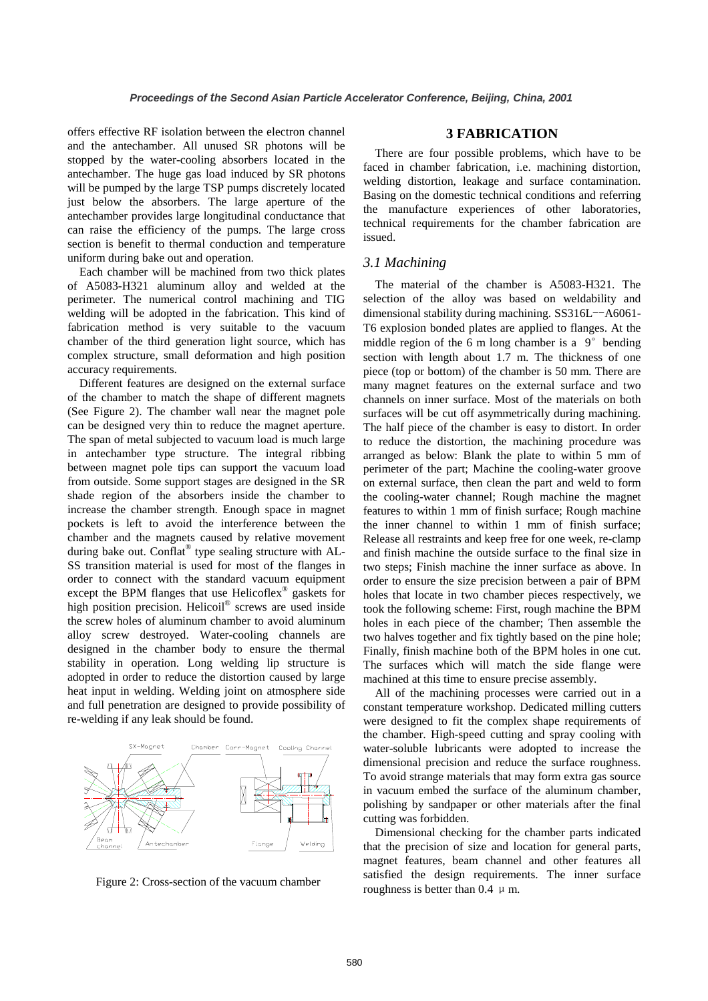offers effective RF isolation between the electron channel and the antechamber. All unused SR photons will be stopped by the water-cooling absorbers located in the antechamber. The huge gas load induced by SR photons will be pumped by the large TSP pumps discretely located just below the absorbers. The large aperture of the antechamber provides large longitudinal conductance that can raise the efficiency of the pumps. The large cross section is benefit to thermal conduction and temperature uniform during bake out and operation.

Each chamber will be machined from two thick plates of A5083-H321 aluminum alloy and welded at the perimeter. The numerical control machining and TIG welding will be adopted in the fabrication. This kind of fabrication method is very suitable to the vacuum chamber of the third generation light source, which has complex structure, small deformation and high position accuracy requirements.

Different features are designed on the external surface of the chamber to match the shape of different magnets (See Figure 2). The chamber wall near the magnet pole can be designed very thin to reduce the magnet aperture. The span of metal subjected to vacuum load is much large in antechamber type structure. The integral ribbing between magnet pole tips can support the vacuum load from outside. Some support stages are designed in the SR shade region of the absorbers inside the chamber to increase the chamber strength. Enough space in magnet pockets is left to avoid the interference between the chamber and the magnets caused by relative movement during bake out. Conflat® type sealing structure with AL-SS transition material is used for most of the flanges in order to connect with the standard vacuum equipment except the BPM flanges that use Helicoflex<sup>®</sup> gaskets for high position precision. Helicoil<sup>®</sup> screws are used inside the screw holes of aluminum chamber to avoid aluminum alloy screw destroyed. Water-cooling channels are designed in the chamber body to ensure the thermal stability in operation. Long welding lip structure is adopted in order to reduce the distortion caused by large heat input in welding. Welding joint on atmosphere side and full penetration are designed to provide possibility of re-welding if any leak should be found.



### **3 FABRICATION**

There are four possible problems, which have to be faced in chamber fabrication, i.e. machining distortion, welding distortion, leakage and surface contamination. Basing on the domestic technical conditions and referring the manufacture experiences of other laboratories, technical requirements for the chamber fabrication are issued.

### *3.1 Machining*

The material of the chamber is A5083-H321. The selection of the alloy was based on weldability and dimensional stability during machining. SS316L--A6061-T6 explosion bonded plates are applied to flanges. At the middle region of the 6 m long chamber is a  $9^{\circ}$  bending section with length about 1.7 m. The thickness of one piece (top or bottom) of the chamber is 50 mm. There are many magnet features on the external surface and two channels on inner surface. Most of the materials on both surfaces will be cut off asymmetrically during machining. The half piece of the chamber is easy to distort. In order to reduce the distortion, the machining procedure was arranged as below: Blank the plate to within 5 mm of perimeter of the part; Machine the cooling-water groove on external surface, then clean the part and weld to form the cooling-water channel; Rough machine the magnet features to within 1 mm of finish surface; Rough machine the inner channel to within 1 mm of finish surface; Release all restraints and keep free for one week, re-clamp and finish machine the outside surface to the final size in two steps; Finish machine the inner surface as above. In order to ensure the size precision between a pair of BPM holes that locate in two chamber pieces respectively, we took the following scheme: First, rough machine the BPM holes in each piece of the chamber; Then assemble the two halves together and fix tightly based on the pine hole; Finally, finish machine both of the BPM holes in one cut. The surfaces which will match the side flange were machined at this time to ensure precise assembly.

All of the machining processes were carried out in a constant temperature workshop. Dedicated milling cutters were designed to fit the complex shape requirements of the chamber. High-speed cutting and spray cooling with water-soluble lubricants were adopted to increase the dimensional precision and reduce the surface roughness. To avoid strange materials that may form extra gas source in vacuum embed the surface of the aluminum chamber, polishing by sandpaper or other materials after the final cutting was forbidden.

Dimensional checking for the chamber parts indicated that the precision of size and location for general parts, magnet features, beam channel and other features all satisfied the design requirements. The inner surface Figure 2: Cross-section of the vacuum chamber<br>roughness is better than  $0.4 \mu$  m.